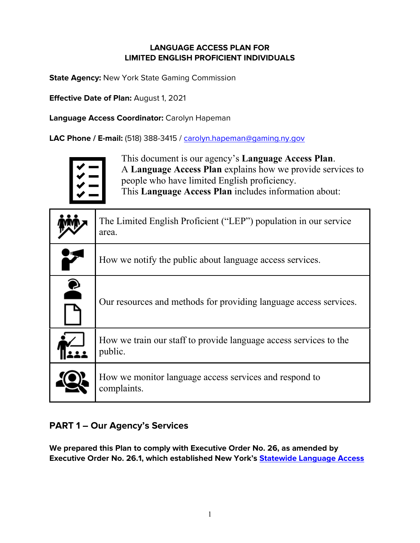## **LANGUAGE ACCESS PLAN FOR LIMITED ENGLISH PROFICIENT INDIVIDUALS**

**State Agency:** New York State Gaming Commission

**Effective Date of Plan:** August 1, 2021

**Language Access Coordinator:** Carolyn Hapeman

**LAC Phone / E-mail:** (518) 388-3415 / [carolyn.hapeman@gaming.ny.gov](mailto:carolyn.hapeman@gaming.ny.gov)



This document is our agency's **Language Access Plan**. A **Language Access Plan** explains how we provide services to people who have limited English proficiency. This **Language Access Plan** includes information about:

|           | The Limited English Proficient ("LEP") population in our service<br>area.    |
|-----------|------------------------------------------------------------------------------|
|           | How we notify the public about language access services.                     |
| $\bullet$ | Our resources and methods for providing language access services.            |
|           | How we train our staff to provide language access services to the<br>public. |
|           | How we monitor language access services and respond to<br>complaints.        |

# **PART 1 – Our Agency's Services**

**We prepared this Plan to comply with Executive Order No. 26, as amended by Executive Order No. 26.1, which established New York's [Statewide Language Access](https://www.ny.gov/language-access-policy)**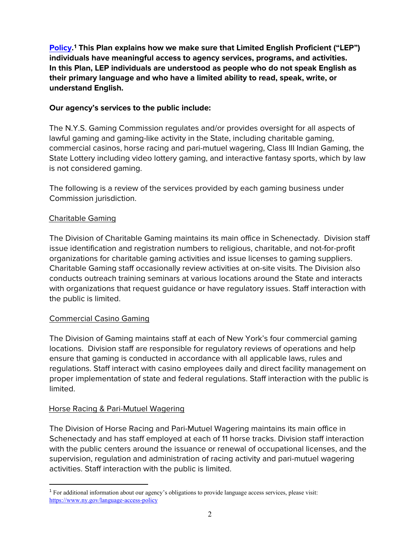**[Policy.](https://www.ny.gov/language-access-policy)[1](#page-1-0) This Plan explains how we make sure that Limited English Proficient ("LEP") individuals have meaningful access to agency services, programs, and activities. In this Plan, LEP individuals are understood as people who do not speak English as their primary language and who have a limited ability to read, speak, write, or understand English.** 

### **Our agency's services to the public include:**

The N.Y.S. Gaming Commission regulates and/or provides oversight for all aspects of lawful gaming and gaming-like activity in the State, including charitable gaming, commercial casinos, horse racing and pari-mutuel wagering, Class III Indian Gaming, the State Lottery including video lottery gaming, and interactive fantasy sports, which by law is not considered gaming.

The following is a review of the services provided by each gaming business under Commission jurisdiction.

### Charitable Gaming

The Division of Charitable Gaming maintains its main office in Schenectady. Division staff issue identification and registration numbers to religious, charitable, and not-for-profit organizations for charitable gaming activities and issue licenses to gaming suppliers. Charitable Gaming staff occasionally review activities at on-site visits. The Division also conducts outreach training seminars at various locations around the State and interacts with organizations that request guidance or have regulatory issues. Staff interaction with the public is limited.

#### Commercial Casino Gaming

The Division of Gaming maintains staff at each of New York's four commercial gaming locations. Division staff are responsible for regulatory reviews of operations and help ensure that gaming is conducted in accordance with all applicable laws, rules and regulations. Staff interact with casino employees daily and direct facility management on proper implementation of state and federal regulations. Staff interaction with the public is limited.

#### Horse Racing & Pari-Mutuel Wagering

The Division of Horse Racing and Pari-Mutuel Wagering maintains its main office in Schenectady and has staff employed at each of 11 horse tracks. Division staff interaction with the public centers around the issuance or renewal of occupational licenses, and the supervision, regulation and administration of racing activity and pari-mutuel wagering activities. Staff interaction with the public is limited.

<span id="page-1-0"></span><sup>1</sup> For additional information about our agency's obligations to provide language access services, please visit: <https://www.ny.gov/language-access-policy>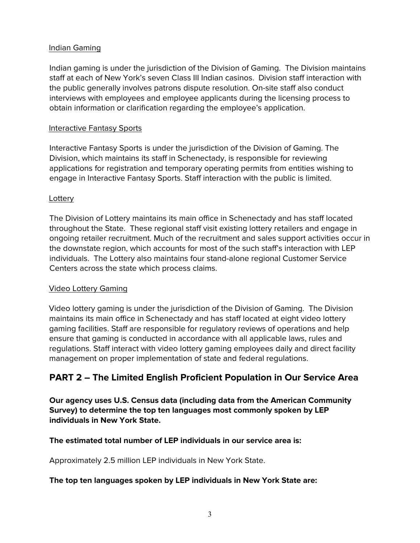#### Indian Gaming

Indian gaming is under the jurisdiction of the Division of Gaming. The Division maintains staff at each of New York's seven Class III Indian casinos. Division staff interaction with the public generally involves patrons dispute resolution. On-site staff also conduct interviews with employees and employee applicants during the licensing process to obtain information or clarification regarding the employee's application.

### Interactive Fantasy Sports

Interactive Fantasy Sports is under the jurisdiction of the Division of Gaming. The Division, which maintains its staff in Schenectady, is responsible for reviewing applications for registration and temporary operating permits from entities wishing to engage in Interactive Fantasy Sports. Staff interaction with the public is limited.

### **Lottery**

The Division of Lottery maintains its main office in Schenectady and has staff located throughout the State. These regional staff visit existing lottery retailers and engage in ongoing retailer recruitment. Much of the recruitment and sales support activities occur in the downstate region, which accounts for most of the such staff's interaction with LEP individuals. The Lottery also maintains four stand-alone regional Customer Service Centers across the state which process claims.

#### Video Lottery Gaming

Video lottery gaming is under the jurisdiction of the Division of Gaming. The Division maintains its main office in Schenectady and has staff located at eight video lottery gaming facilities. Staff are responsible for regulatory reviews of operations and help ensure that gaming is conducted in accordance with all applicable laws, rules and regulations. Staff interact with video lottery gaming employees daily and direct facility management on proper implementation of state and federal regulations.

# **PART 2 – The Limited English Proficient Population in Our Service Area**

**Our agency uses U.S. Census data (including data from the American Community Survey) to determine the top ten languages most commonly spoken by LEP individuals in New York State.** 

## **The estimated total number of LEP individuals in our service area is:**

Approximately 2.5 million LEP individuals in New York State.

#### **The top ten languages spoken by LEP individuals in New York State are:**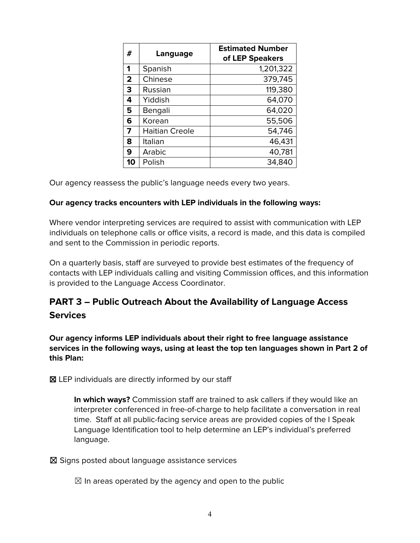| #              | Language              | <b>Estimated Number</b><br>of LEP Speakers |
|----------------|-----------------------|--------------------------------------------|
| 1              | Spanish               | 1,201,322                                  |
| $\overline{2}$ | Chinese               | 379,745                                    |
| 3              | Russian               | 119,380                                    |
| 4              | Yiddish               | 64,070                                     |
| 5              | Bengali               | 64,020                                     |
| 6              | Korean                | 55,506                                     |
| 7              | <b>Haitian Creole</b> | 54,746                                     |
| 8              | Italian               | 46,431                                     |
| 9              | Arabic                | 40,781                                     |
| 10             | Polish                | 34,840                                     |

Our agency reassess the public's language needs every two years.

#### **Our agency tracks encounters with LEP individuals in the following ways:**

Where vendor interpreting services are required to assist with communication with LEP individuals on telephone calls or office visits, a record is made, and this data is compiled and sent to the Commission in periodic reports.

On a quarterly basis, staff are surveyed to provide best estimates of the frequency of contacts with LEP individuals calling and visiting Commission offices, and this information is provided to the Language Access Coordinator.

# **PART 3 – Public Outreach About the Availability of Language Access Services**

**Our agency informs LEP individuals about their right to free language assistance services in the following ways, using at least the top ten languages shown in Part 2 of this Plan:**

☒ LEP individuals are directly informed by our staff

**In which ways?** Commission staff are trained to ask callers if they would like an interpreter conferenced in free-of-charge to help facilitate a conversation in real time. Staff at all public-facing service areas are provided copies of the I Speak Language Identification tool to help determine an LEP's individual's preferred language.

☒ Signs posted about language assistance services

 $\boxtimes$  In areas operated by the agency and open to the public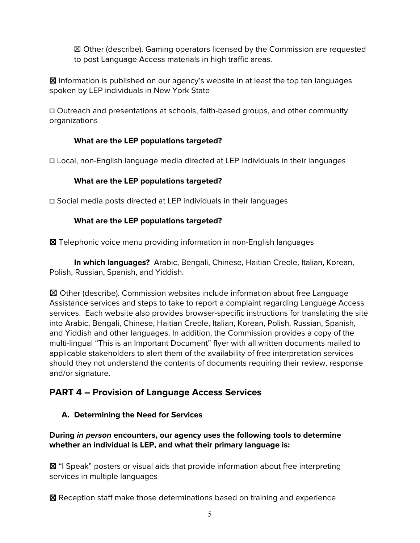☒ Other (describe). Gaming operators licensed by the Commission are requested to post Language Access materials in high traffic areas.

☒ Information is published on our agency's website in at least the top ten languages spoken by LEP individuals in New York State

**☐** Outreach and presentations at schools, faith-based groups, and other community organizations

## **What are the LEP populations targeted?**

**☐** Local, non-English language media directed at LEP individuals in their languages

## **What are the LEP populations targeted?**

**☐** Social media posts directed at LEP individuals in their languages

## **What are the LEP populations targeted?**

☒ Telephonic voice menu providing information in non-English languages

**In which languages?** Arabic, Bengali, Chinese, Haitian Creole, Italian, Korean, Polish, Russian, Spanish, and Yiddish.

☒ Other (describe). Commission websites include information about free Language Assistance services and steps to take to report a complaint regarding Language Access services. Each website also provides browser-specific instructions for translating the site into Arabic, Bengali, Chinese, Haitian Creole, Italian, Korean, Polish, Russian, Spanish, and Yiddish and other languages. In addition, the Commission provides a copy of the multi-lingual "This is an Important Document" flyer with all written documents mailed to applicable stakeholders to alert them of the availability of free interpretation services should they not understand the contents of documents requiring their review, response and/or signature.

# **PART 4 – Provision of Language Access Services**

# **A. Determining the Need for Services**

## **During in person encounters, our agency uses the following tools to determine whether an individual is LEP, and what their primary language is:**

**⊠** "I Speak" posters or visual aids that provide information about free interpreting services in multiple languages

☒ Reception staff make those determinations based on training and experience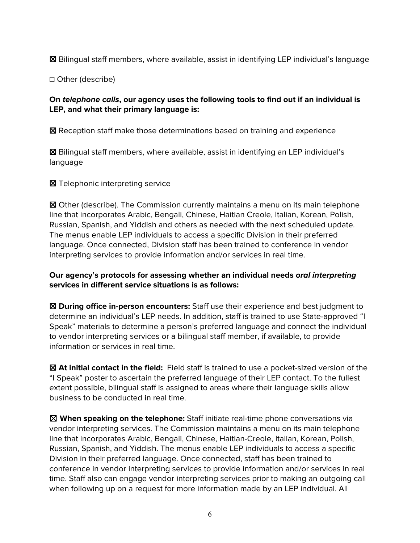☒ Bilingual staff members, where available, assist in identifying LEP individual's language

☐ Other (describe)

#### **On telephone calls, our agency uses the following tools to find out if an individual is LEP, and what their primary language is:**

☒ Reception staff make those determinations based on training and experience

☒ Bilingual staff members, where available, assist in identifying an LEP individual's language

■ Telephonic interpreting service

☒ Other (describe). The Commission currently maintains a menu on its main telephone line that incorporates Arabic, Bengali, Chinese, Haitian Creole, Italian, Korean, Polish, Russian, Spanish, and Yiddish and others as needed with the next scheduled update. The menus enable LEP individuals to access a specific Division in their preferred language. Once connected, Division staff has been trained to conference in vendor interpreting services to provide information and/or services in real time.

### **Our agency's protocols for assessing whether an individual needs oral interpreting services in different service situations is as follows:**

☒ **During office in-person encounters:** Staff use their experience and best judgment to determine an individual's LEP needs. In addition, staff is trained to use State-approved "I Speak" materials to determine a person's preferred language and connect the individual to vendor interpreting services or a bilingual staff member, if available, to provide information or services in real time.

☒ **At initial contact in the field:** Field staff is trained to use a pocket-sized version of the "I Speak" poster to ascertain the preferred language of their LEP contact. To the fullest extent possible, bilingual staff is assigned to areas where their language skills allow business to be conducted in real time.

☒ **When speaking on the telephone:** Staff initiate real-time phone conversations via vendor interpreting services. The Commission maintains a menu on its main telephone line that incorporates Arabic, Bengali, Chinese, Haitian-Creole, Italian, Korean, Polish, Russian, Spanish, and Yiddish. The menus enable LEP individuals to access a specific Division in their preferred language. Once connected, staff has been trained to conference in vendor interpreting services to provide information and/or services in real time. Staff also can engage vendor interpreting services prior to making an outgoing call when following up on a request for more information made by an LEP individual. All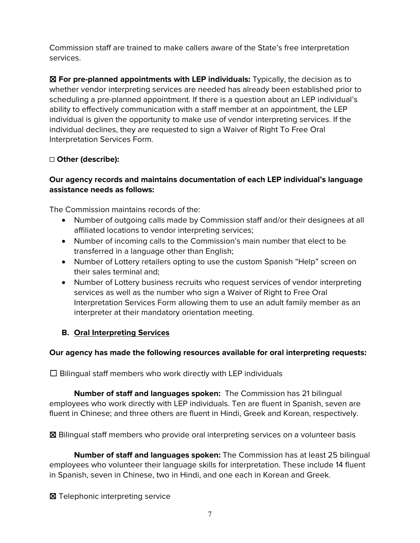Commission staff are trained to make callers aware of the State's free interpretation services.

☒ **For pre-planned appointments with LEP individuals:** Typically, the decision as to whether vendor interpreting services are needed has already been established prior to scheduling a pre-planned appointment. If there is a question about an LEP individual's ability to effectively communication with a staff member at an appointment, the LEP individual is given the opportunity to make use of vendor interpreting services. If the individual declines, they are requested to sign a Waiver of Right To Free Oral Interpretation Services Form.

## ☐ **Other (describe):**

### **Our agency records and maintains documentation of each LEP individual's language assistance needs as follows:**

The Commission maintains records of the:

- Number of outgoing calls made by Commission staff and/or their designees at all affiliated locations to vendor interpreting services;
- Number of incoming calls to the Commission's main number that elect to be transferred in a language other than English;
- Number of Lottery retailers opting to use the custom Spanish "Help" screen on their sales terminal and;
- Number of Lottery business recruits who request services of vendor interpreting services as well as the number who sign a Waiver of Right to Free Oral Interpretation Services Form allowing them to use an adult family member as an interpreter at their mandatory orientation meeting.

## **B. Oral Interpreting Services**

#### **Our agency has made the following resources available for oral interpreting requests:**

 $\Box$  Bilingual staff members who work directly with LEP individuals

**Number of staff and languages spoken:** The Commission has 21 bilingual employees who work directly with LEP individuals. Ten are fluent in Spanish, seven are fluent in Chinese; and three others are fluent in Hindi, Greek and Korean, respectively.

☒ Bilingual staff members who provide oral interpreting services on a volunteer basis

**Number of staff and languages spoken:** The Commission has at least 25 bilingual employees who volunteer their language skills for interpretation. These include 14 fluent in Spanish, seven in Chinese, two in Hindi, and one each in Korean and Greek.

■ Telephonic interpreting service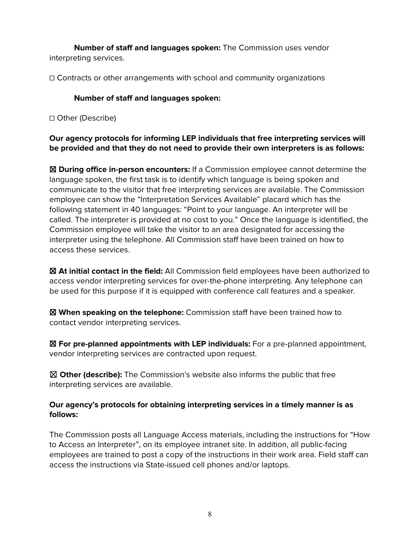**Number of staff and languages spoken:** The Commission uses vendor interpreting services.

☐ Contracts or other arrangements with school and community organizations

## **Number of staff and languages spoken:**

☐ Other (Describe)

**Our agency protocols for informing LEP individuals that free interpreting services will be provided and that they do not need to provide their own interpreters is as follows:**

☒ **During office in-person encounters:** If a Commission employee cannot determine the language spoken, the first task is to identify which language is being spoken and communicate to the visitor that free interpreting services are available. The Commission employee can show the "Interpretation Services Available" placard which has the following statement in 40 languages: "Point to your language. An interpreter will be called. The interpreter is provided at no cost to you." Once the language is identified, the Commission employee will take the visitor to an area designated for accessing the interpreter using the telephone. All Commission staff have been trained on how to access these services.

☒ **At initial contact in the field:** All Commission field employees have been authorized to access vendor interpreting services for over-the-phone interpreting. Any telephone can be used for this purpose if it is equipped with conference call features and a speaker.

☒ **When speaking on the telephone:** Commission staff have been trained how to contact vendor interpreting services.

☒ **For pre-planned appointments with LEP individuals:** For a pre-planned appointment, vendor interpreting services are contracted upon request.

☒ **Other (describe):** The Commission's website also informs the public that free interpreting services are available.

### **Our agency's protocols for obtaining interpreting services in a timely manner is as follows:**

The Commission posts all Language Access materials, including the instructions for "How to Access an Interpreter", on its employee intranet site. In addition, all public-facing employees are trained to post a copy of the instructions in their work area. Field staff can access the instructions via State-issued cell phones and/or laptops.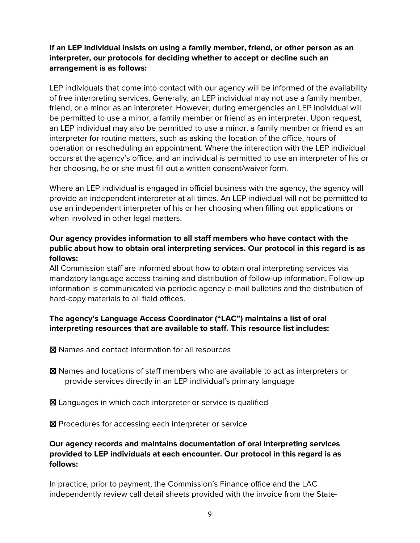### **If an LEP individual insists on using a family member, friend, or other person as an interpreter, our protocols for deciding whether to accept or decline such an arrangement is as follows:**

LEP individuals that come into contact with our agency will be informed of the availability of free interpreting services. Generally, an LEP individual may not use a family member, friend, or a minor as an interpreter. However, during emergencies an LEP individual will be permitted to use a minor, a family member or friend as an interpreter. Upon request, an LEP individual may also be permitted to use a minor, a family member or friend as an interpreter for routine matters, such as asking the location of the office, hours of operation or rescheduling an appointment. Where the interaction with the LEP individual occurs at the agency's office, and an individual is permitted to use an interpreter of his or her choosing, he or she must fill out a written consent/waiver form.

Where an LEP individual is engaged in official business with the agency, the agency will provide an independent interpreter at all times. An LEP individual will not be permitted to use an independent interpreter of his or her choosing when filling out applications or when involved in other legal matters.

### **Our agency provides information to all staff members who have contact with the public about how to obtain oral interpreting services. Our protocol in this regard is as follows:**

All Commission staff are informed about how to obtain oral interpreting services via mandatory language access training and distribution of follow-up information. Follow-up information is communicated via periodic agency e-mail bulletins and the distribution of hard-copy materials to all field offices.

## **The agency's Language Access Coordinator ("LAC") maintains a list of oral interpreting resources that are available to staff. This resource list includes:**

- ☒ Names and contact information for all resources
- ☒ Names and locations of staff members who are available to act as interpreters or provide services directly in an LEP individual's primary language
- ☒ Languages in which each interpreter or service is qualified
- ☒ Procedures for accessing each interpreter or service

### **Our agency records and maintains documentation of oral interpreting services provided to LEP individuals at each encounter. Our protocol in this regard is as follows:**

In practice, prior to payment, the Commission's Finance office and the LAC independently review call detail sheets provided with the invoice from the State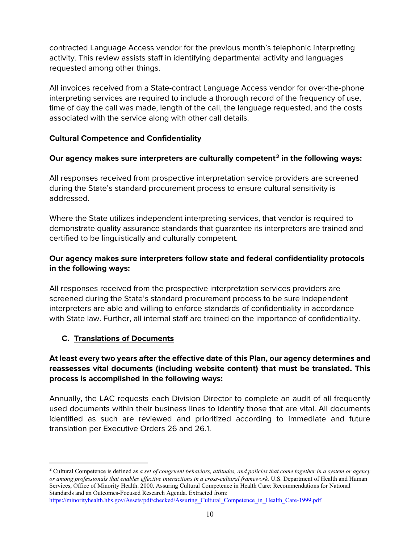contracted Language Access vendor for the previous month's telephonic interpreting activity. This review assists staff in identifying departmental activity and languages requested among other things.

All invoices received from a State-contract Language Access vendor for over-the-phone interpreting services are required to include a thorough record of the frequency of use, time of day the call was made, length of the call, the language requested, and the costs associated with the service along with other call details.

## **Cultural Competence and Confidentiality**

## **Our agency makes sure interpreters are culturally competent[2](#page-9-0) in the following ways:**

All responses received from prospective interpretation service providers are screened during the State's standard procurement process to ensure cultural sensitivity is addressed.

Where the State utilizes independent interpreting services, that vendor is required to demonstrate quality assurance standards that guarantee its interpreters are trained and certified to be linguistically and culturally competent.

## **Our agency makes sure interpreters follow state and federal confidentiality protocols in the following ways:**

All responses received from the prospective interpretation services providers are screened during the State's standard procurement process to be sure independent interpreters are able and willing to enforce standards of confidentiality in accordance with State law. Further, all internal staff are trained on the importance of confidentiality.

## **C. Translations of Documents**

## **At least every two years after the effective date of this Plan, our agency determines and reassesses vital documents (including website content) that must be translated. This process is accomplished in the following ways:**

Annually, the LAC requests each Division Director to complete an audit of all frequently used documents within their business lines to identify those that are vital. All documents identified as such are reviewed and prioritized according to immediate and future translation per Executive Orders 26 and 26.1.

<span id="page-9-0"></span><sup>2</sup> Cultural Competence is defined as *a set of congruent behaviors, attitudes, and policies that come together in a system or agency or among professionals that enables effective interactions in a cross-cultural framework.* U.S. Department of Health and Human Services, Office of Minority Health. 2000. Assuring Cultural Competence in Health Care: Recommendations for National Standards and an Outcomes-Focused Research Agenda. Extracted from: [https://minorityhealth.hhs.gov/Assets/pdf/checked/Assuring\\_Cultural\\_Competence\\_in\\_Health\\_Care-1999.pdf](https://minorityhealth.hhs.gov/Assets/pdf/checked/Assuring_Cultural_Competence_in_Health_Care-1999.pdf)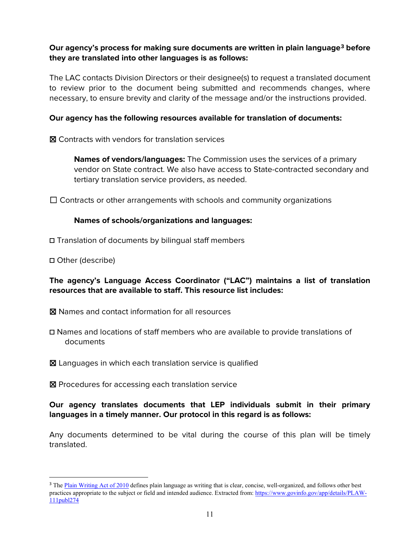#### **Our agency's process for making sure documents are written in plain language[3](#page-10-0) before they are translated into other languages is as follows:**

The LAC contacts Division Directors or their designee(s) to request a translated document to review prior to the document being submitted and recommends changes, where necessary, to ensure brevity and clarity of the message and/or the instructions provided.

#### **Our agency has the following resources available for translation of documents:**

☒ Contracts with vendors for translation services

**Names of vendors/languages:** The Commission uses the services of a primary vendor on State contract. We also have access to State-contracted secondary and tertiary translation service providers, as needed.

 $\Box$  Contracts or other arrangements with schools and community organizations

#### **Names of schools/organizations and languages:**

- **☐** Translation of documents by bilingual staff members
- **☐** Other (describe)

### **The agency's Language Access Coordinator ("LAC") maintains a list of translation resources that are available to staff. This resource list includes:**

- ☒ Names and contact information for all resources
- **☐** Names and locations of staff members who are available to provide translations of documents
- ☒ Languages in which each translation service is qualified

☒ Procedures for accessing each translation service

### **Our agency translates documents that LEP individuals submit in their primary languages in a timely manner. Our protocol in this regard is as follows:**

Any documents determined to be vital during the course of this plan will be timely translated.

<span id="page-10-0"></span><sup>&</sup>lt;sup>3</sup> The [Plain Writing Act of 2010](https://www.govinfo.gov/app/details/PLAW-111publ274) defines plain language as writing that is clear, concise, well-organized, and follows other best practices appropriate to the subject or field and intended audience. Extracted from: [https://www.govinfo.gov/app/details/PLAW-](https://www.govinfo.gov/app/details/PLAW-111publ274)[111publ274](https://www.govinfo.gov/app/details/PLAW-111publ274)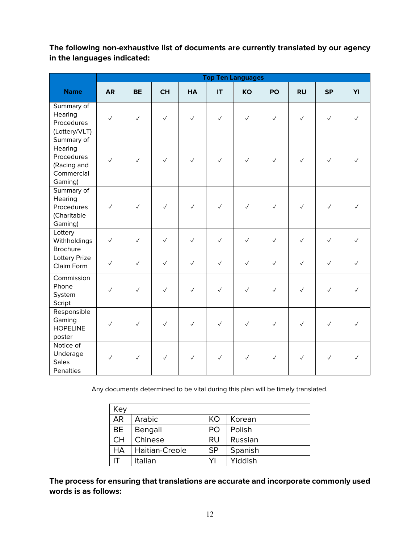**The following non-exhaustive list of documents are currently translated by our agency in the languages indicated:**

|                                                                             | <b>Top Ten Languages</b> |              |              |              |              |              |              |              |              |              |
|-----------------------------------------------------------------------------|--------------------------|--------------|--------------|--------------|--------------|--------------|--------------|--------------|--------------|--------------|
| <b>Name</b>                                                                 | <b>AR</b>                | <b>BE</b>    | <b>CH</b>    | <b>HA</b>    | IT           | <b>KO</b>    | PO           | <b>RU</b>    | <b>SP</b>    | YI           |
| Summary of<br>Hearing<br>Procedures<br>(Lottery/VLT)                        | $\checkmark$             | $\checkmark$ | $\checkmark$ | $\checkmark$ | $\checkmark$ | $\checkmark$ | $\checkmark$ | $\checkmark$ | $\checkmark$ | $\sqrt{}$    |
| Summary of<br>Hearing<br>Procedures<br>(Racing and<br>Commercial<br>Gaming) | $\checkmark$             | $\checkmark$ | $\checkmark$ | $\checkmark$ | $\checkmark$ | $\checkmark$ | $\checkmark$ | $\checkmark$ | $\checkmark$ |              |
| Summary of<br>Hearing<br>Procedures<br>(Charitable<br>Gaming)               | $\checkmark$             | $\checkmark$ | $\checkmark$ | $\checkmark$ | $\checkmark$ | $\checkmark$ | $\checkmark$ | $\checkmark$ | $\checkmark$ |              |
| Lottery<br>Withholdings<br><b>Brochure</b>                                  | $\checkmark$             | $\checkmark$ | $\checkmark$ | $\checkmark$ | $\checkmark$ | $\checkmark$ | $\checkmark$ | $\checkmark$ | $\checkmark$ | $\checkmark$ |
| <b>Lottery Prize</b><br>Claim Form                                          | $\checkmark$             | $\checkmark$ | $\checkmark$ | $\checkmark$ | $\checkmark$ | $\checkmark$ | $\checkmark$ | $\checkmark$ | $\checkmark$ | $\checkmark$ |
| Commission<br>Phone<br>System<br>Script                                     | $\checkmark$             | $\checkmark$ | $\checkmark$ | $\checkmark$ | $\checkmark$ | $\checkmark$ | $\checkmark$ | $\checkmark$ | $\checkmark$ | $\checkmark$ |
| Responsible<br>Gaming<br><b>HOPELINE</b><br>poster                          | $\checkmark$             | $\checkmark$ | $\checkmark$ | $\checkmark$ | $\checkmark$ | $\checkmark$ | $\checkmark$ | $\checkmark$ | $\checkmark$ | J            |
| Notice of<br>Underage<br><b>Sales</b><br>Penalties                          | $\checkmark$             | $\checkmark$ | $\checkmark$ | $\checkmark$ | $\checkmark$ | $\checkmark$ | $\checkmark$ | $\checkmark$ | $\checkmark$ | ✓            |

Any documents determined to be vital during this plan will be timely translated.

| Key       |                |           |         |
|-----------|----------------|-----------|---------|
| <b>AR</b> | Arabic         | KO        | Korean  |
| <b>BE</b> | Bengali        | PO.       | Polish  |
| <b>CH</b> | Chinese        | RU        | Russian |
| <b>HA</b> | Haitian-Creole | <b>SP</b> | Spanish |
| ıτ        | Italian        | YI        | Yiddish |

**The process for ensuring that translations are accurate and incorporate commonly used words is as follows:**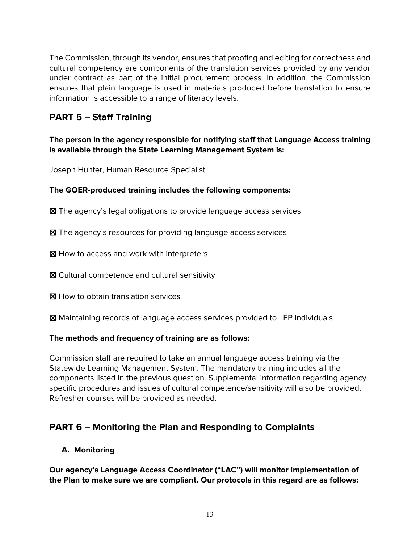The Commission, through its vendor, ensures that proofing and editing for correctness and cultural competency are components of the translation services provided by any vendor under contract as part of the initial procurement process. In addition, the Commission ensures that plain language is used in materials produced before translation to ensure information is accessible to a range of literacy levels.

# **PART 5 – Staff Training**

**The person in the agency responsible for notifying staff that Language Access training is available through the State Learning Management System is:** 

Joseph Hunter, Human Resource Specialist.

#### **The GOER-produced training includes the following components:**

☒ The agency's legal obligations to provide language access services

☒ The agency's resources for providing language access services

⊠ How to access and work with interpreters

☒ Cultural competence and cultural sensitivity

**X** How to obtain translation services

☒ Maintaining records of language access services provided to LEP individuals

#### **The methods and frequency of training are as follows:**

Commission staff are required to take an annual language access training via the Statewide Learning Management System. The mandatory training includes all the components listed in the previous question. Supplemental information regarding agency specific procedures and issues of cultural competence/sensitivity will also be provided. Refresher courses will be provided as needed.

# **PART 6 – Monitoring the Plan and Responding to Complaints**

#### **A. Monitoring**

**Our agency's Language Access Coordinator ("LAC") will monitor implementation of the Plan to make sure we are compliant. Our protocols in this regard are as follows:**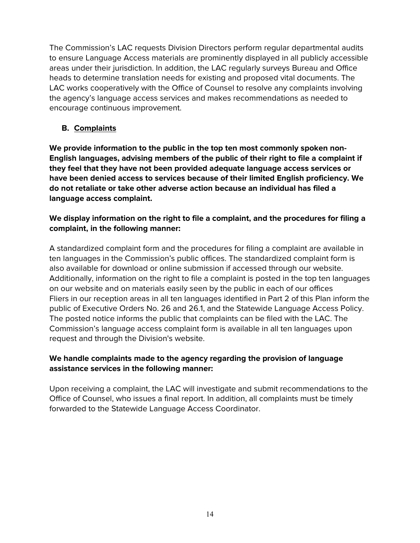The Commission's LAC requests Division Directors perform regular departmental audits to ensure Language Access materials are prominently displayed in all publicly accessible areas under their jurisdiction. In addition, the LAC regularly surveys Bureau and Office heads to determine translation needs for existing and proposed vital documents. The LAC works cooperatively with the Office of Counsel to resolve any complaints involving the agency's language access services and makes recommendations as needed to encourage continuous improvement.

## **B. Complaints**

**We provide information to the public in the top ten most commonly spoken non-English languages, advising members of the public of their right to file a complaint if they feel that they have not been provided adequate language access services or have been denied access to services because of their limited English proficiency. We do not retaliate or take other adverse action because an individual has filed a language access complaint.** 

## **We display information on the right to file a complaint, and the procedures for filing a complaint, in the following manner:**

A standardized complaint form and the procedures for filing a complaint are available in ten languages in the Commission's public offices. The standardized complaint form is also available for download or online submission if accessed through our website. Additionally, information on the right to file a complaint is posted in the top ten languages on our website and on materials easily seen by the public in each of our offices Fliers in our reception areas in all ten languages identified in Part 2 of this Plan inform the public of Executive Orders No. 26 and 26.1, and the Statewide Language Access Policy. The posted notice informs the public that complaints can be filed with the LAC. The Commission's language access complaint form is available in all ten languages upon request and through the Division's website.

### **We handle complaints made to the agency regarding the provision of language assistance services in the following manner:**

Upon receiving a complaint, the LAC will investigate and submit recommendations to the Office of Counsel, who issues a final report. In addition, all complaints must be timely forwarded to the Statewide Language Access Coordinator.